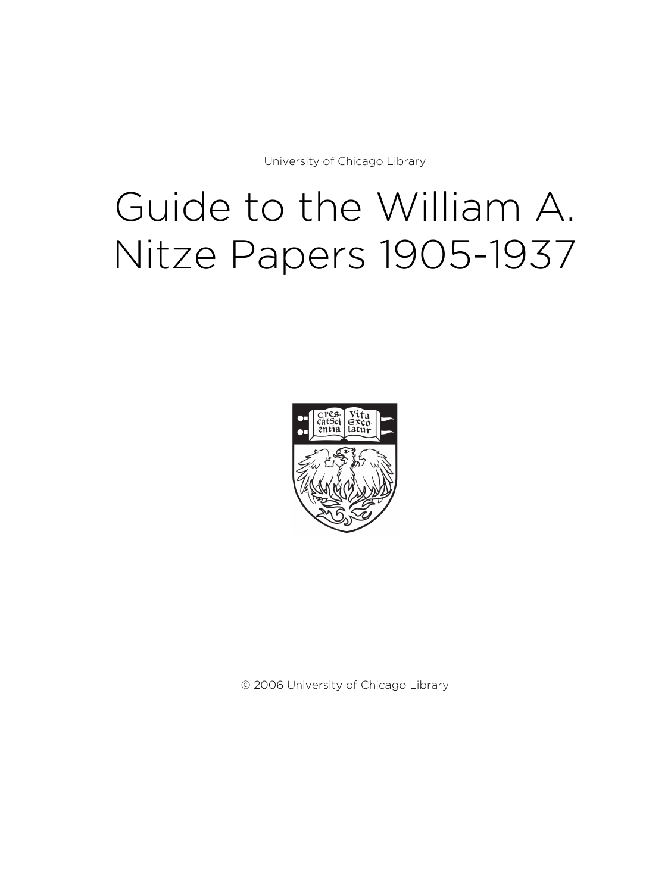University of Chicago Library

# Guide to the William A. Nitze Papers 1905-1937



© 2006 University of Chicago Library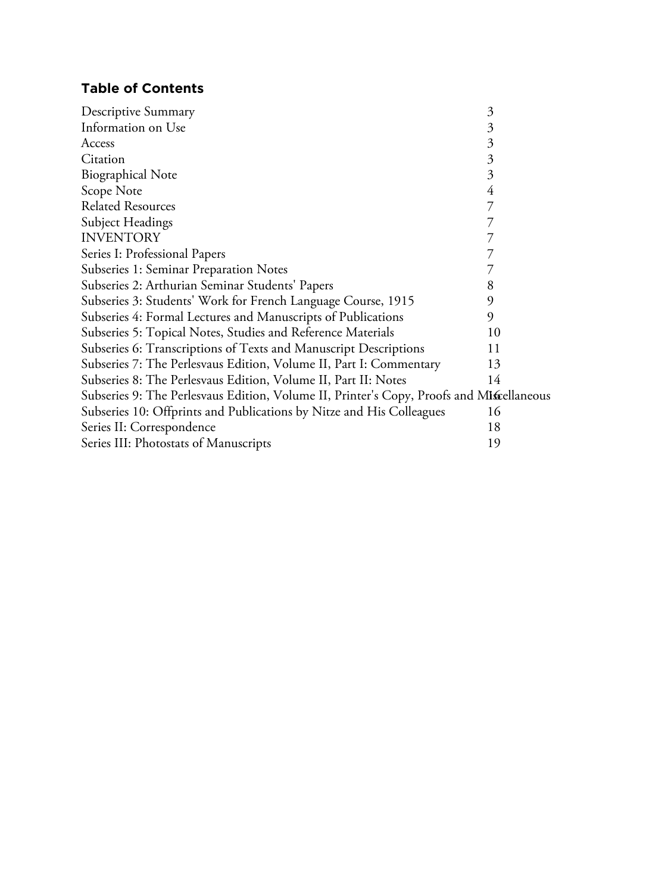# **Table of Contents**

| Descriptive Summary                                                                      | 3              |  |
|------------------------------------------------------------------------------------------|----------------|--|
| Information on Use                                                                       | 3              |  |
| Access                                                                                   | $\mathfrak{Z}$ |  |
| Citation                                                                                 | 3              |  |
| <b>Biographical Note</b>                                                                 | 3              |  |
| Scope Note                                                                               | 4              |  |
| <b>Related Resources</b>                                                                 |                |  |
| Subject Headings                                                                         |                |  |
| <b>INVENTORY</b>                                                                         |                |  |
| Series I: Professional Papers                                                            |                |  |
| Subseries 1: Seminar Preparation Notes                                                   |                |  |
| Subseries 2: Arthurian Seminar Students' Papers                                          | 8              |  |
| Subseries 3: Students' Work for French Language Course, 1915                             | 9              |  |
| Subseries 4: Formal Lectures and Manuscripts of Publications                             | 9              |  |
| Subseries 5: Topical Notes, Studies and Reference Materials                              | 10             |  |
| Subseries 6: Transcriptions of Texts and Manuscript Descriptions                         | 11             |  |
| Subseries 7: The Perlesvaus Edition, Volume II, Part I: Commentary                       | 13             |  |
| Subseries 8: The Perlesvaus Edition, Volume II, Part II: Notes                           | 14             |  |
| Subseries 9: The Perlesvaus Edition, Volume II, Printer's Copy, Proofs and Miscellaneous |                |  |
| Subseries 10: Offprints and Publications by Nitze and His Colleagues                     | 16             |  |
| Series II: Correspondence                                                                | 18             |  |
| Series III: Photostats of Manuscripts                                                    | 19             |  |
|                                                                                          |                |  |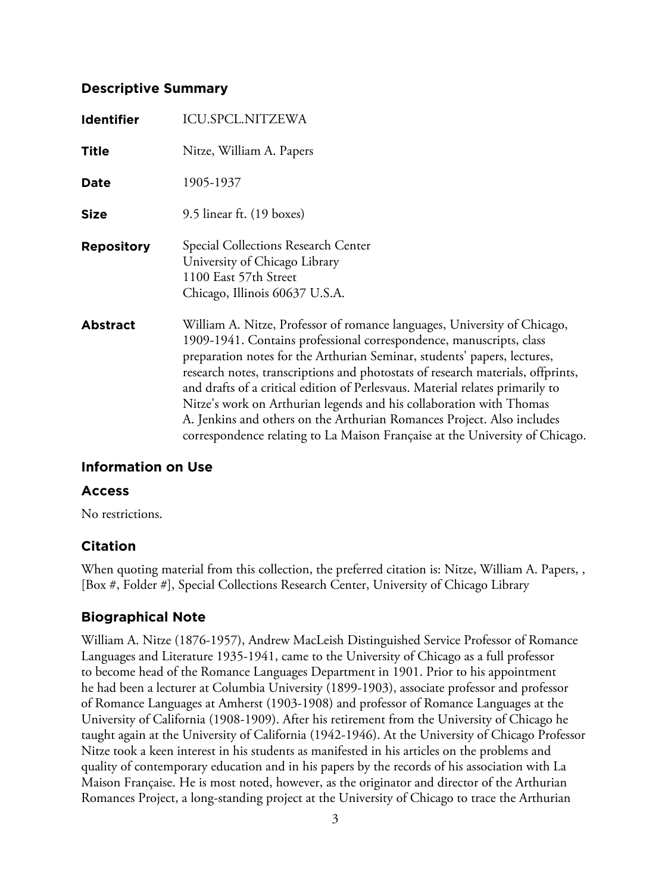# **Descriptive Summary**

| <b>Identifier</b> | <b>ICU.SPCL.NITZEWA</b>                                                                                                                                                                                                                                                                                                                                                                                                                                                                                                                                                                                                          |
|-------------------|----------------------------------------------------------------------------------------------------------------------------------------------------------------------------------------------------------------------------------------------------------------------------------------------------------------------------------------------------------------------------------------------------------------------------------------------------------------------------------------------------------------------------------------------------------------------------------------------------------------------------------|
| <b>Title</b>      | Nitze, William A. Papers                                                                                                                                                                                                                                                                                                                                                                                                                                                                                                                                                                                                         |
| Date              | 1905-1937                                                                                                                                                                                                                                                                                                                                                                                                                                                                                                                                                                                                                        |
| <b>Size</b>       | 9.5 linear ft. (19 boxes)                                                                                                                                                                                                                                                                                                                                                                                                                                                                                                                                                                                                        |
| <b>Repository</b> | Special Collections Research Center<br>University of Chicago Library<br>1100 East 57th Street<br>Chicago, Illinois 60637 U.S.A.                                                                                                                                                                                                                                                                                                                                                                                                                                                                                                  |
| <b>Abstract</b>   | William A. Nitze, Professor of romance languages, University of Chicago,<br>1909-1941. Contains professional correspondence, manuscripts, class<br>preparation notes for the Arthurian Seminar, students' papers, lectures,<br>research notes, transcriptions and photostats of research materials, offprints,<br>and drafts of a critical edition of Perlesvaus. Material relates primarily to<br>Nitze's work on Arthurian legends and his collaboration with Thomas<br>A. Jenkins and others on the Arthurian Romances Project. Also includes<br>correspondence relating to La Maison Française at the University of Chicago. |

# **Information on Use**

# **Access**

No restrictions.

# **Citation**

When quoting material from this collection, the preferred citation is: Nitze, William A. Papers, , [Box #, Folder #], Special Collections Research Center, University of Chicago Library

# **Biographical Note**

William A. Nitze (1876-1957), Andrew MacLeish Distinguished Service Professor of Romance Languages and Literature 1935-1941, came to the University of Chicago as a full professor to become head of the Romance Languages Department in 1901. Prior to his appointment he had been a lecturer at Columbia University (1899-1903), associate professor and professor of Romance Languages at Amherst (1903-1908) and professor of Romance Languages at the University of California (1908-1909). After his retirement from the University of Chicago he taught again at the University of California (1942-1946). At the University of Chicago Professor Nitze took a keen interest in his students as manifested in his articles on the problems and quality of contemporary education and in his papers by the records of his association with La Maison Française. He is most noted, however, as the originator and director of the Arthurian Romances Project, a long-standing project at the University of Chicago to trace the Arthurian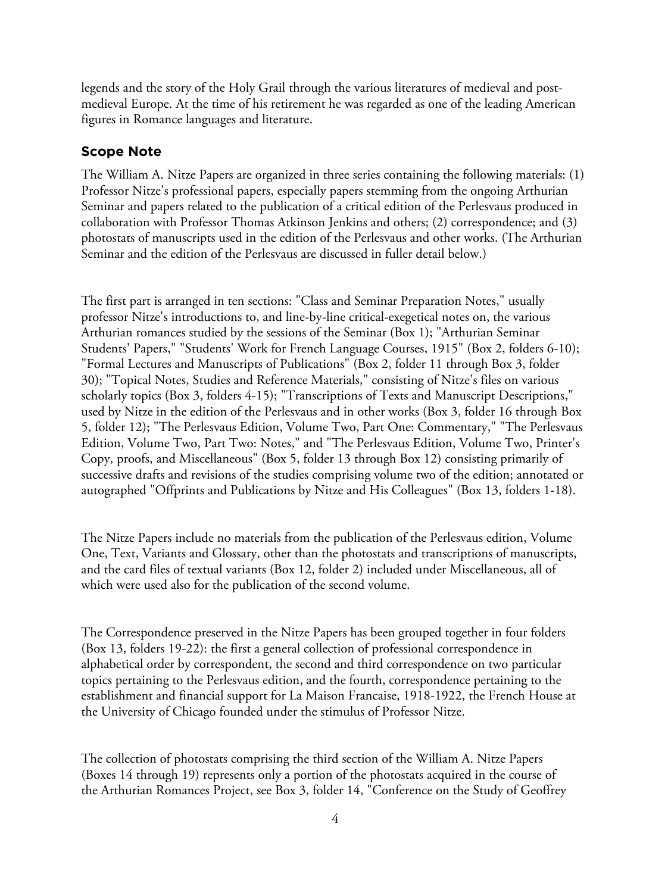legends and the story of the Holy Grail through the various literatures of medieval and postmedieval Europe. At the time of his retirement he was regarded as one of the leading American figures in Romance languages and literature.

# **Scope Note**

The William A. Nitze Papers are organized in three series containing the following materials: (1) Professor Nitze's professional papers, especially papers stemming from the ongoing Arthurian Seminar and papers related to the publication of a critical edition of the Perlesvaus produced in collaboration with Professor Thomas Atkinson Jenkins and others; (2) correspondence; and (3) photostats of manuscripts used in the edition of the Perlesvaus and other works. (The Arthurian Seminar and the edition of the Perlesvaus are discussed in fuller detail below.)

The first part is arranged in ten sections: "Class and Seminar Preparation Notes," usually professor Nitze's introductions to, and line-by-line critical-exegetical notes on, the various Arthurian romances studied by the sessions of the Seminar (Box 1); "Arthurian Seminar Students' Papers," "Students' Work for French Language Courses, 1915" (Box 2, folders 6-10); "Formal Lectures and Manuscripts of Publications" (Box 2, folder 11 through Box 3, folder 30); "Topical Notes, Studies and Reference Materials," consisting of Nitze's files on various scholarly topics (Box 3, folders 4-15); "Transcriptions of Texts and Manuscript Descriptions," used by Nitze in the edition of the Perlesvaus and in other works (Box 3, folder 16 through Box 5, folder 12); "The Perlesvaus Edition, Volume Two, Part One: Commentary," "The Perlesvaus Edition, Volume Two, Part Two: Notes," and "The Perlesvaus Edition, Volume Two, Printer's Copy, proofs, and Miscellaneous" (Box 5, folder 13 through Box 12) consisting primarily of successive drafts and revisions of the studies comprising volume two of the edition; annotated or autographed "Offprints and Publications by Nitze and His Colleagues" (Box 13, folders 1-18).

The Nitze Papers include no materials from the publication of the Perlesvaus edition, Volume One, Text, Variants and Glossary, other than the photostats and transcriptions of manuscripts, and the card files of textual variants (Box 12, folder 2) included under Miscellaneous, all of which were used also for the publication of the second volume.

The Correspondence preserved in the Nitze Papers has been grouped together in four folders (Box 13, folders 19-22): the first a general collection of professional correspondence in alphabetical order by correspondent, the second and third correspondence on two particular topics pertaining to the Perlesvaus edition, and the fourth, correspondence pertaining to the establishment and financial support for La Maison Francaise, 1918-1922, the French House at the University of Chicago founded under the stimulus of Professor Nitze.

The collection of photostats comprising the third section of the William A. Nitze Papers (Boxes 14 through 19) represents only a portion of the photostats acquired in the course of the Arthurian Romances Project, see Box 3, folder 14, "Conference on the Study of Geoffrey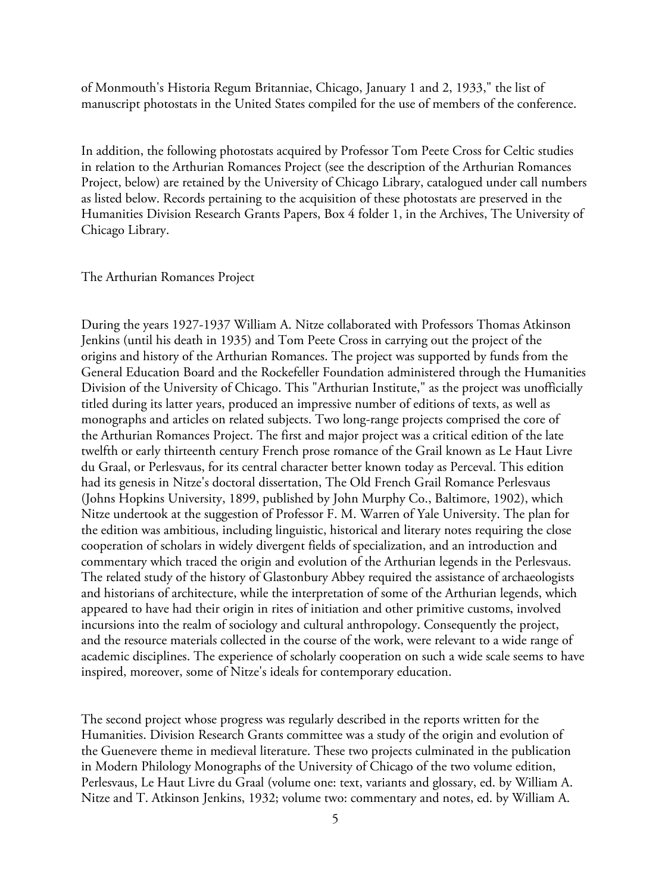of Monmouth's Historia Regum Britanniae, Chicago, January 1 and 2, 1933," the list of manuscript photostats in the United States compiled for the use of members of the conference.

In addition, the following photostats acquired by Professor Tom Peete Cross for Celtic studies in relation to the Arthurian Romances Project (see the description of the Arthurian Romances Project, below) are retained by the University of Chicago Library, catalogued under call numbers as listed below. Records pertaining to the acquisition of these photostats are preserved in the Humanities Division Research Grants Papers, Box 4 folder 1, in the Archives, The University of Chicago Library.

#### The Arthurian Romances Project

During the years 1927-1937 William A. Nitze collaborated with Professors Thomas Atkinson Jenkins (until his death in 1935) and Tom Peete Cross in carrying out the project of the origins and history of the Arthurian Romances. The project was supported by funds from the General Education Board and the Rockefeller Foundation administered through the Humanities Division of the University of Chicago. This "Arthurian Institute," as the project was unofficially titled during its latter years, produced an impressive number of editions of texts, as well as monographs and articles on related subjects. Two long-range projects comprised the core of the Arthurian Romances Project. The first and major project was a critical edition of the late twelfth or early thirteenth century French prose romance of the Grail known as Le Haut Livre du Graal, or Perlesvaus, for its central character better known today as Perceval. This edition had its genesis in Nitze's doctoral dissertation, The Old French Grail Romance Perlesvaus (Johns Hopkins University, 1899, published by John Murphy Co., Baltimore, 1902), which Nitze undertook at the suggestion of Professor F. M. Warren of Yale University. The plan for the edition was ambitious, including linguistic, historical and literary notes requiring the close cooperation of scholars in widely divergent fields of specialization, and an introduction and commentary which traced the origin and evolution of the Arthurian legends in the Perlesvaus. The related study of the history of Glastonbury Abbey required the assistance of archaeologists and historians of architecture, while the interpretation of some of the Arthurian legends, which appeared to have had their origin in rites of initiation and other primitive customs, involved incursions into the realm of sociology and cultural anthropology. Consequently the project, and the resource materials collected in the course of the work, were relevant to a wide range of academic disciplines. The experience of scholarly cooperation on such a wide scale seems to have inspired, moreover, some of Nitze's ideals for contemporary education.

The second project whose progress was regularly described in the reports written for the Humanities. Division Research Grants committee was a study of the origin and evolution of the Guenevere theme in medieval literature. These two projects culminated in the publication in Modern Philology Monographs of the University of Chicago of the two volume edition, Perlesvaus, Le Haut Livre du Graal (volume one: text, variants and glossary, ed. by William A. Nitze and T. Atkinson Jenkins, 1932; volume two: commentary and notes, ed. by William A.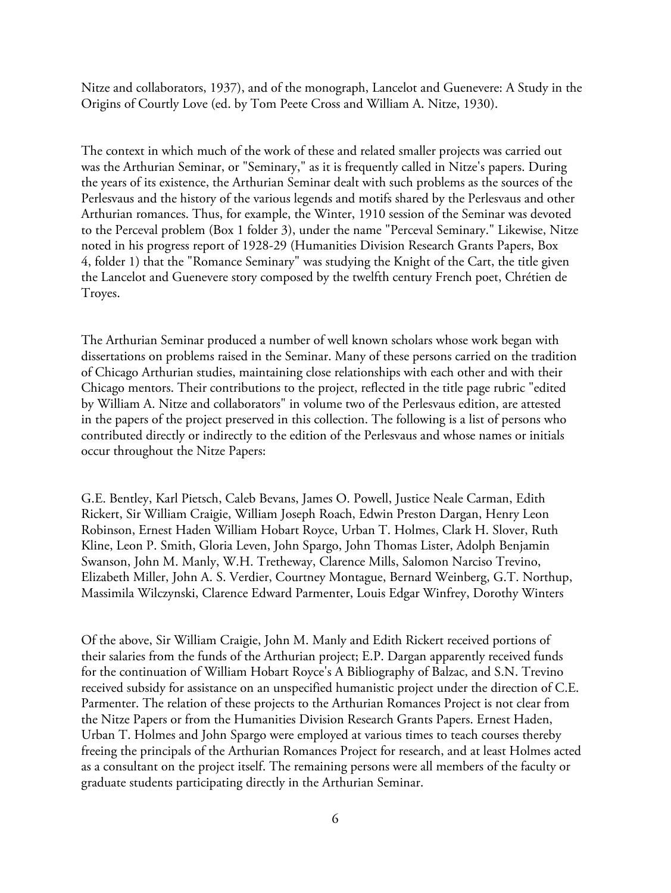Nitze and collaborators, 1937), and of the monograph, Lancelot and Guenevere: A Study in the Origins of Courtly Love (ed. by Tom Peete Cross and William A. Nitze, 1930).

The context in which much of the work of these and related smaller projects was carried out was the Arthurian Seminar, or "Seminary," as it is frequently called in Nitze's papers. During the years of its existence, the Arthurian Seminar dealt with such problems as the sources of the Perlesvaus and the history of the various legends and motifs shared by the Perlesvaus and other Arthurian romances. Thus, for example, the Winter, 1910 session of the Seminar was devoted to the Perceval problem (Box 1 folder 3), under the name "Perceval Seminary." Likewise, Nitze noted in his progress report of 1928-29 (Humanities Division Research Grants Papers, Box 4, folder 1) that the "Romance Seminary" was studying the Knight of the Cart, the title given the Lancelot and Guenevere story composed by the twelfth century French poet, Chrétien de Troyes.

The Arthurian Seminar produced a number of well known scholars whose work began with dissertations on problems raised in the Seminar. Many of these persons carried on the tradition of Chicago Arthurian studies, maintaining close relationships with each other and with their Chicago mentors. Their contributions to the project, reflected in the title page rubric "edited by William A. Nitze and collaborators" in volume two of the Perlesvaus edition, are attested in the papers of the project preserved in this collection. The following is a list of persons who contributed directly or indirectly to the edition of the Perlesvaus and whose names or initials occur throughout the Nitze Papers:

G.E. Bentley, Karl Pietsch, Caleb Bevans, James O. Powell, Justice Neale Carman, Edith Rickert, Sir William Craigie, William Joseph Roach, Edwin Preston Dargan, Henry Leon Robinson, Ernest Haden William Hobart Royce, Urban T. Holmes, Clark H. Slover, Ruth Kline, Leon P. Smith, Gloria Leven, John Spargo, John Thomas Lister, Adolph Benjamin Swanson, John M. Manly, W.H. Tretheway, Clarence Mills, Salomon Narciso Trevino, Elizabeth Miller, John A. S. Verdier, Courtney Montague, Bernard Weinberg, G.T. Northup, Massimila Wilczynski, Clarence Edward Parmenter, Louis Edgar Winfrey, Dorothy Winters

Of the above, Sir William Craigie, John M. Manly and Edith Rickert received portions of their salaries from the funds of the Arthurian project; E.P. Dargan apparently received funds for the continuation of William Hobart Royce's A Bibliography of Balzac, and S.N. Trevino received subsidy for assistance on an unspecified humanistic project under the direction of C.E. Parmenter. The relation of these projects to the Arthurian Romances Project is not clear from the Nitze Papers or from the Humanities Division Research Grants Papers. Ernest Haden, Urban T. Holmes and John Spargo were employed at various times to teach courses thereby freeing the principals of the Arthurian Romances Project for research, and at least Holmes acted as a consultant on the project itself. The remaining persons were all members of the faculty or graduate students participating directly in the Arthurian Seminar.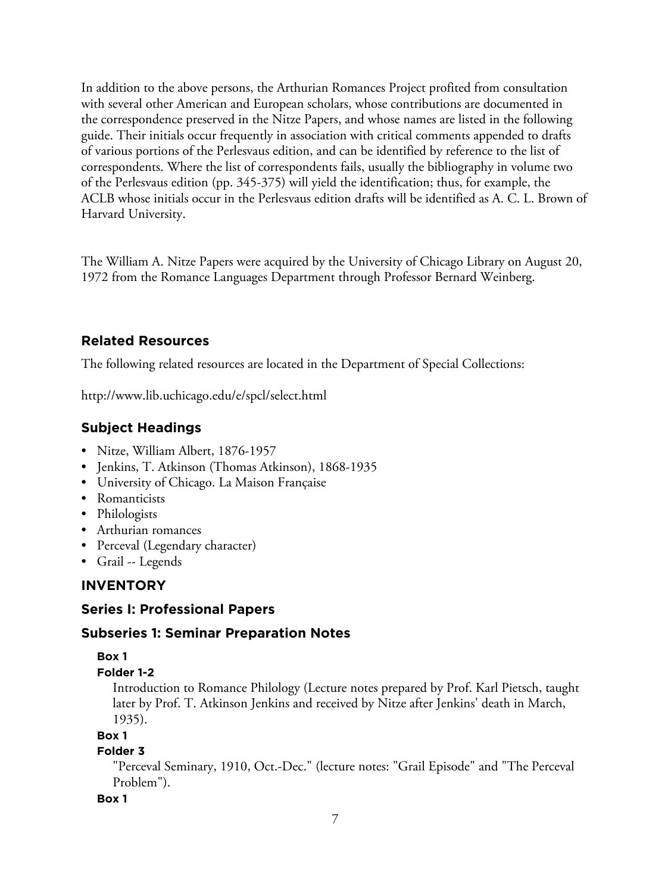In addition to the above persons, the Arthurian Romances Project profited from consultation with several other American and European scholars, whose contributions are documented in the correspondence preserved in the Nitze Papers, and whose names are listed in the following guide. Their initials occur frequently in association with critical comments appended to drafts of various portions of the Perlesvaus edition, and can be identified by reference to the list of correspondents. Where the list of correspondents fails, usually the bibliography in volume two of the Perlesvaus edition (pp. 345-375) will yield the identification; thus, for example, the ACLB whose initials occur in the Perlesvaus edition drafts will be identified as A. C. L. Brown of Harvard University.

The William A. Nitze Papers were acquired by the University of Chicago Library on August 20, 1972 from the Romance Languages Department through Professor Bernard Weinberg.

# **Related Resources**

The following related resources are located in the Department of Special Collections:

http://www.lib.uchicago.edu/e/spcl/select.html

# **Subject Headings**

- Nitze, William Albert, 1876-1957
- Jenkins, T. Atkinson (Thomas Atkinson), 1868-1935
- University of Chicago. La Maison Française
- Romanticists
- Philologists
- Arthurian romances
- Perceval (Legendary character)
- Grail -- Legends

# **INVENTORY**

# **Series I: Professional Papers**

# **Subseries 1: Seminar Preparation Notes**

# **Box 1**

# **Folder 1-2**

Introduction to Romance Philology (Lecture notes prepared by Prof. Karl Pietsch, taught later by Prof. T. Atkinson Jenkins and received by Nitze after Jenkins' death in March, 1935).

# **Box 1**

# **Folder 3**

"Perceval Seminary, 1910, Oct.-Dec." (lecture notes: "Grail Episode" and "The Perceval Problem").

# **Box 1**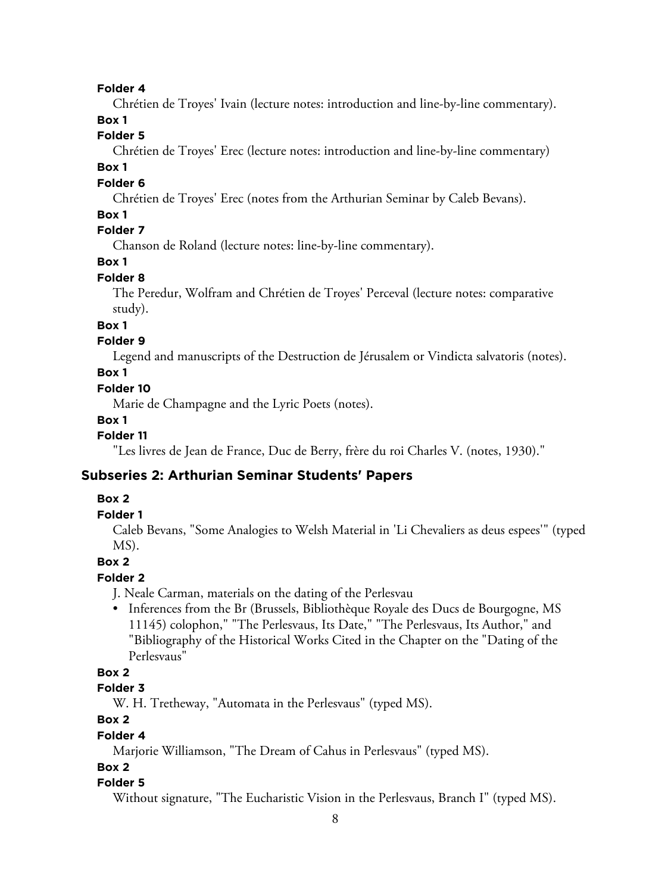#### **Folder 4**

Chrétien de Troyes' Ivain (lecture notes: introduction and line-by-line commentary).

# **Box 1**

# **Folder 5**

Chrétien de Troyes' Erec (lecture notes: introduction and line-by-line commentary)

## **Box 1**

## **Folder 6**

Chrétien de Troyes' Erec (notes from the Arthurian Seminar by Caleb Bevans).

# **Box 1**

# **Folder 7**

Chanson de Roland (lecture notes: line-by-line commentary).

# **Box 1**

# **Folder 8**

The Peredur, Wolfram and Chrétien de Troyes' Perceval (lecture notes: comparative study).

# **Box 1**

# **Folder 9**

Legend and manuscripts of the Destruction de Jérusalem or Vindicta salvatoris (notes).

# **Box 1**

## **Folder 10**

Marie de Champagne and the Lyric Poets (notes).

#### **Box 1**

# **Folder 11**

"Les livres de Jean de France, Duc de Berry, frère du roi Charles V. (notes, 1930)."

# **Subseries 2: Arthurian Seminar Students' Papers**

# **Box 2**

## **Folder 1**

Caleb Bevans, "Some Analogies to Welsh Material in 'Li Chevaliers as deus espees'" (typed MS).

# **Box 2**

# **Folder 2**

J. Neale Carman, materials on the dating of the Perlesvau

• Inferences from the Br (Brussels, Bibliothèque Royale des Ducs de Bourgogne, MS 11145) colophon," "The Perlesvaus, Its Date," "The Perlesvaus, Its Author," and "Bibliography of the Historical Works Cited in the Chapter on the "Dating of the Perlesvaus"

# **Box 2**

# **Folder 3**

W. H. Tretheway, "Automata in the Perlesvaus" (typed MS).

# **Box 2**

#### **Folder 4**

Marjorie Williamson, "The Dream of Cahus in Perlesvaus" (typed MS).

# **Box 2**

#### **Folder 5**

Without signature, "The Eucharistic Vision in the Perlesvaus, Branch I" (typed MS).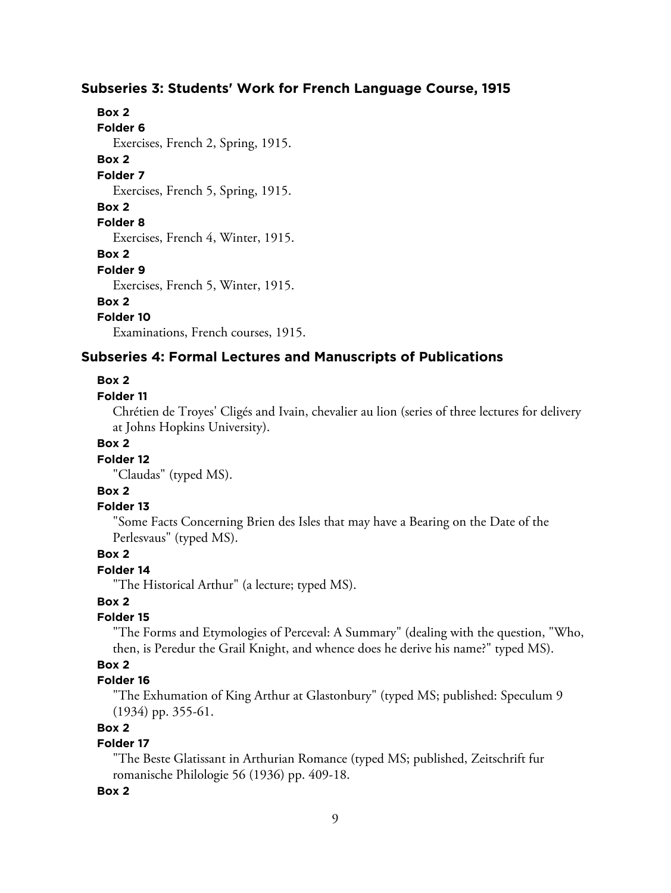## **Subseries 3: Students' Work for French Language Course, 1915**

# **Box 2**

**Folder 6**

Exercises, French 2, Spring, 1915.

# **Box 2**

**Folder 7** Exercises, French 5, Spring, 1915.

## **Box 2**

## **Folder 8**

Exercises, French 4, Winter, 1915.

#### **Box 2**

**Folder 9**

Exercises, French 5, Winter, 1915.

## **Box 2**

**Folder 10**

Examinations, French courses, 1915.

# **Subseries 4: Formal Lectures and Manuscripts of Publications**

#### **Box 2**

## **Folder 11**

Chrétien de Troyes' Cligés and Ivain, chevalier au lion (series of three lectures for delivery at Johns Hopkins University).

# **Box 2**

# **Folder 12**

"Claudas" (typed MS).

# **Box 2**

#### **Folder 13**

"Some Facts Concerning Brien des Isles that may have a Bearing on the Date of the Perlesvaus" (typed MS).

# **Box 2**

# **Folder 14**

"The Historical Arthur" (a lecture; typed MS).

# **Box 2**

#### **Folder 15**

"The Forms and Etymologies of Perceval: A Summary" (dealing with the question, "Who, then, is Peredur the Grail Knight, and whence does he derive his name?" typed MS).

## **Box 2**

# **Folder 16**

"The Exhumation of King Arthur at Glastonbury" (typed MS; published: Speculum 9 (1934) pp. 355-61.

# **Box 2**

# **Folder 17**

"The Beste Glatissant in Arthurian Romance (typed MS; published, Zeitschrift fur romanische Philologie 56 (1936) pp. 409-18.

#### **Box 2**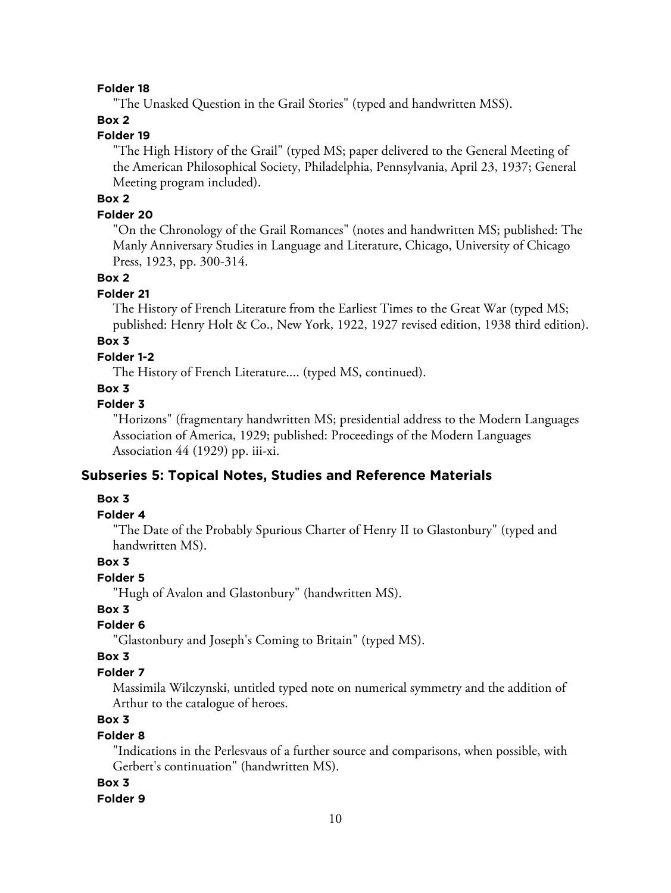#### **Folder 18**

"The Unasked Question in the Grail Stories" (typed and handwritten MSS).

## **Box 2**

# **Folder 19**

"The High History of the Grail" (typed MS; paper delivered to the General Meeting of the American Philosophical Society, Philadelphia, Pennsylvania, April 23, 1937; General Meeting program included).

# **Box 2**

## **Folder 20**

"On the Chronology of the Grail Romances" (notes and handwritten MS; published: The Manly Anniversary Studies in Language and Literature, Chicago, University of Chicago Press, 1923, pp. 300-314.

#### **Box 2**

#### **Folder 21**

The History of French Literature from the Earliest Times to the Great War (typed MS; published: Henry Holt & Co., New York, 1922, 1927 revised edition, 1938 third edition).

# **Box 3**

## **Folder 1-2**

The History of French Literature.... (typed MS, continued).

# **Box 3**

# **Folder 3**

"Horizons" (fragmentary handwritten MS; presidential address to the Modern Languages Association of America, 1929; published: Proceedings of the Modern Languages Association 44 (1929) pp. iii-xi.

## **Subseries 5: Topical Notes, Studies and Reference Materials**

## **Box 3**

# **Folder 4**

"The Date of the Probably Spurious Charter of Henry II to Glastonbury" (typed and handwritten MS).

## **Box 3**

# **Folder 5**

"Hugh of Avalon and Glastonbury" (handwritten MS).

#### **Box 3**

# **Folder 6**

"Glastonbury and Joseph's Coming to Britain" (typed MS).

## **Box 3**

## **Folder 7**

Massimila Wilczynski, untitled typed note on numerical symmetry and the addition of Arthur to the catalogue of heroes.

# **Box 3**

#### **Folder 8**

"Indications in the Perlesvaus of a further source and comparisons, when possible, with Gerbert's continuation" (handwritten MS).

#### **Box 3**

#### **Folder 9**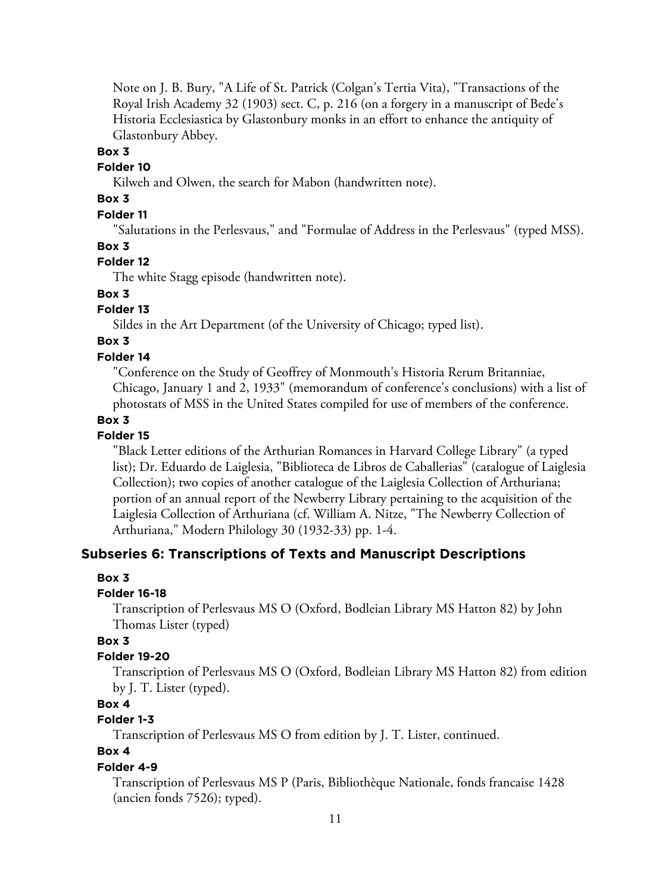Note on J. B. Bury, "A Life of St. Patrick (Colgan's Tertia Vita), "Transactions of the Royal Irish Academy 32 (1903) sect. C, p. 216 (on a forgery in a manuscript of Bede's Historia Ecclesiastica by Glastonbury monks in an effort to enhance the antiquity of Glastonbury Abbey.

## **Box 3**

## **Folder 10**

Kilweh and Olwen, the search for Mabon (handwritten note).

# **Box 3**

# **Folder 11**

"Salutations in the Perlesvaus," and "Formulae of Address in the Perlesvaus" (typed MSS).

## **Box 3**

# **Folder 12**

The white Stagg episode (handwritten note).

# **Box 3**

# **Folder 13**

Sildes in the Art Department (of the University of Chicago; typed list).

# **Box 3**

## **Folder 14**

"Conference on the Study of Geoffrey of Monmouth's Historia Rerum Britanniae, Chicago, January 1 and 2, 1933" (memorandum of conference's conclusions) with a list of photostats of MSS in the United States compiled for use of members of the conference.

## **Box 3**

# **Folder 15**

"Black Letter editions of the Arthurian Romances in Harvard College Library" (a typed list); Dr. Eduardo de Laiglesia, "Biblioteca de Libros de Caballerias" (catalogue of Laiglesia Collection); two copies of another catalogue of the Laiglesia Collection of Arthuriana; portion of an annual report of the Newberry Library pertaining to the acquisition of the Laiglesia Collection of Arthuriana (cf. William A. Nitze, "The Newberry Collection of Arthuriana," Modern Philology 30 (1932-33) pp. 1-4.

# **Subseries 6: Transcriptions of Texts and Manuscript Descriptions**

#### **Box 3**

#### **Folder 16-18**

Transcription of Perlesvaus MS O (Oxford, Bodleian Library MS Hatton 82) by John Thomas Lister (typed)

## **Box 3**

## **Folder 19-20**

Transcription of Perlesvaus MS O (Oxford, Bodleian Library MS Hatton 82) from edition by J. T. Lister (typed).

# **Box 4**

# **Folder 1-3**

Transcription of Perlesvaus MS O from edition by J. T. Lister, continued.

## **Box 4**

# **Folder 4-9**

Transcription of Perlesvaus MS P (Paris, Bibliothèque Nationale, fonds francaise 1428 (ancien fonds 7526); typed).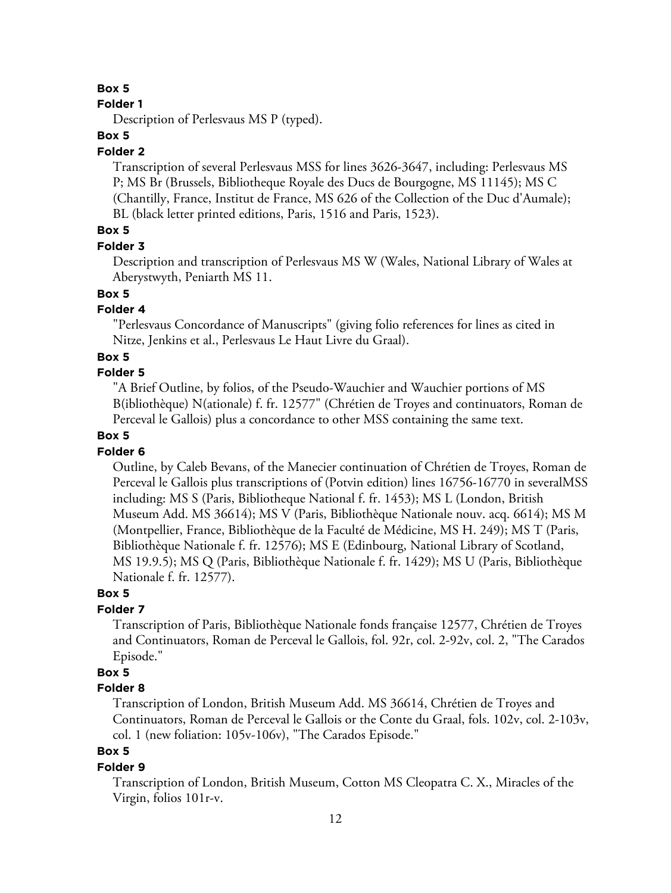#### **Folder 1**

Description of Perlesvaus MS P (typed).

## **Box 5**

#### **Folder 2**

Transcription of several Perlesvaus MSS for lines 3626-3647, including: Perlesvaus MS P; MS Br (Brussels, Bibliotheque Royale des Ducs de Bourgogne, MS 11145); MS C (Chantilly, France, Institut de France, MS 626 of the Collection of the Duc d'Aumale); BL (black letter printed editions, Paris, 1516 and Paris, 1523).

# **Box 5**

#### **Folder 3**

Description and transcription of Perlesvaus MS W (Wales, National Library of Wales at Aberystwyth, Peniarth MS 11.

# **Box 5**

# **Folder 4**

"Perlesvaus Concordance of Manuscripts" (giving folio references for lines as cited in Nitze, Jenkins et al., Perlesvaus Le Haut Livre du Graal).

#### **Box 5**

# **Folder 5**

"A Brief Outline, by folios, of the Pseudo-Wauchier and Wauchier portions of MS B(ibliothèque) N(ationale) f. fr. 12577" (Chrétien de Troyes and continuators, Roman de Perceval le Gallois) plus a concordance to other MSS containing the same text.

## **Box 5**

#### **Folder 6**

Outline, by Caleb Bevans, of the Manecier continuation of Chrétien de Troyes, Roman de Perceval le Gallois plus transcriptions of (Potvin edition) lines 16756-16770 in severalMSS including: MS S (Paris, Bibliotheque National f. fr. 1453); MS L (London, British Museum Add. MS 36614); MS V (Paris, Bibliothèque Nationale nouv. acq. 6614); MS M (Montpellier, France, Bibliothèque de la Faculté de Médicine, MS H. 249); MS T (Paris, Bibliothèque Nationale f. fr. 12576); MS E (Edinbourg, National Library of Scotland, MS 19.9.5); MS Q (Paris, Bibliothèque Nationale f. fr. 1429); MS U (Paris, Bibliothèque Nationale f. fr. 12577).

# **Box 5**

#### **Folder 7**

Transcription of Paris, Bibliothèque Nationale fonds française 12577, Chrétien de Troyes and Continuators, Roman de Perceval le Gallois, fol. 92r, col. 2-92v, col. 2, "The Carados Episode."

## **Box 5**

#### **Folder 8**

Transcription of London, British Museum Add. MS 36614, Chrétien de Troyes and Continuators, Roman de Perceval le Gallois or the Conte du Graal, fols. 102v, col. 2-103v, col. 1 (new foliation: 105v-106v), "The Carados Episode."

## **Box 5**

#### **Folder 9**

Transcription of London, British Museum, Cotton MS Cleopatra C. X., Miracles of the Virgin, folios 101r-v.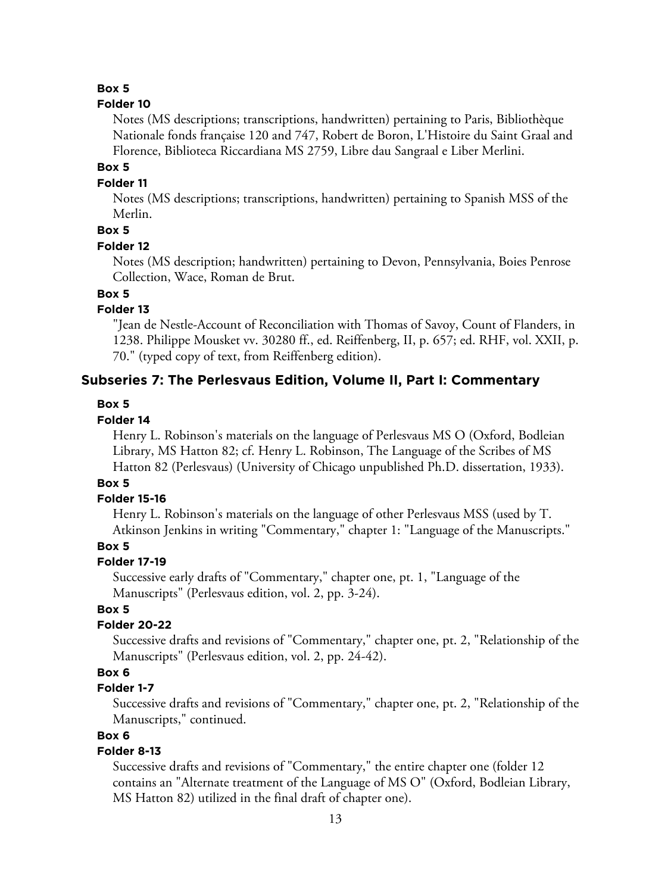#### **Folder 10**

Notes (MS descriptions; transcriptions, handwritten) pertaining to Paris, Bibliothèque Nationale fonds française 120 and 747, Robert de Boron, L'Histoire du Saint Graal and Florence, Biblioteca Riccardiana MS 2759, Libre dau Sangraal e Liber Merlini.

## **Box 5**

#### **Folder 11**

Notes (MS descriptions; transcriptions, handwritten) pertaining to Spanish MSS of the Merlin.

# **Box 5**

#### **Folder 12**

Notes (MS description; handwritten) pertaining to Devon, Pennsylvania, Boies Penrose Collection, Wace, Roman de Brut.

# **Box 5**

# **Folder 13**

"Jean de Nestle-Account of Reconciliation with Thomas of Savoy, Count of Flanders, in 1238. Philippe Mousket vv. 30280 ff., ed. Reiffenberg, II, p. 657; ed. RHF, vol. XXII, p. 70." (typed copy of text, from Reiffenberg edition).

## **Subseries 7: The Perlesvaus Edition, Volume II, Part I: Commentary**

#### **Box 5**

#### **Folder 14**

Henry L. Robinson's materials on the language of Perlesvaus MS O (Oxford, Bodleian Library, MS Hatton 82; cf. Henry L. Robinson, The Language of the Scribes of MS Hatton 82 (Perlesvaus) (University of Chicago unpublished Ph.D. dissertation, 1933).

# **Box 5**

#### **Folder 15-16**

Henry L. Robinson's materials on the language of other Perlesvaus MSS (used by T. Atkinson Jenkins in writing "Commentary," chapter 1: "Language of the Manuscripts."

# **Box 5**

## **Folder 17-19**

Successive early drafts of "Commentary," chapter one, pt. 1, "Language of the Manuscripts" (Perlesvaus edition, vol. 2, pp. 3-24).

## **Box 5**

#### **Folder 20-22**

Successive drafts and revisions of "Commentary," chapter one, pt. 2, "Relationship of the Manuscripts" (Perlesvaus edition, vol. 2, pp. 24-42).

## **Box 6**

## **Folder 1-7**

Successive drafts and revisions of "Commentary," chapter one, pt. 2, "Relationship of the Manuscripts," continued.

## **Box 6**

# **Folder 8-13**

Successive drafts and revisions of "Commentary," the entire chapter one (folder 12 contains an "Alternate treatment of the Language of MS O" (Oxford, Bodleian Library, MS Hatton 82) utilized in the final draft of chapter one).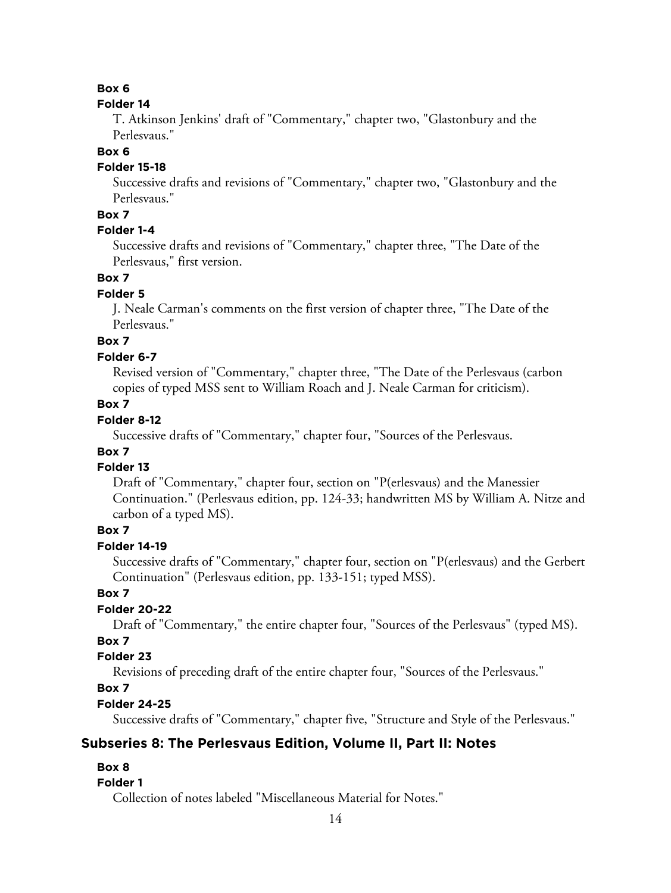## **Folder 14**

T. Atkinson Jenkins' draft of "Commentary," chapter two, "Glastonbury and the Perlesvaus."

## **Box 6**

# **Folder 15-18**

Successive drafts and revisions of "Commentary," chapter two, "Glastonbury and the Perlesvaus."

# **Box 7**

# **Folder 1-4**

Successive drafts and revisions of "Commentary," chapter three, "The Date of the Perlesvaus," first version.

# **Box 7**

# **Folder 5**

J. Neale Carman's comments on the first version of chapter three, "The Date of the Perlesvaus."

# **Box 7**

# **Folder 6-7**

Revised version of "Commentary," chapter three, "The Date of the Perlesvaus (carbon copies of typed MSS sent to William Roach and J. Neale Carman for criticism).

# **Box 7**

# **Folder 8-12**

Successive drafts of "Commentary," chapter four, "Sources of the Perlesvaus.

# **Box 7**

# **Folder 13**

Draft of "Commentary," chapter four, section on "P(erlesvaus) and the Manessier Continuation." (Perlesvaus edition, pp. 124-33; handwritten MS by William A. Nitze and carbon of a typed MS).

# **Box 7**

# **Folder 14-19**

Successive drafts of "Commentary," chapter four, section on "P(erlesvaus) and the Gerbert Continuation" (Perlesvaus edition, pp. 133-151; typed MSS).

# **Box 7**

# **Folder 20-22**

Draft of "Commentary," the entire chapter four, "Sources of the Perlesvaus" (typed MS).

# **Box 7**

# **Folder 23**

Revisions of preceding draft of the entire chapter four, "Sources of the Perlesvaus."

# **Box 7**

# **Folder 24-25**

Successive drafts of "Commentary," chapter five, "Structure and Style of the Perlesvaus."

# **Subseries 8: The Perlesvaus Edition, Volume II, Part II: Notes**

# **Box 8**

# **Folder 1**

Collection of notes labeled "Miscellaneous Material for Notes."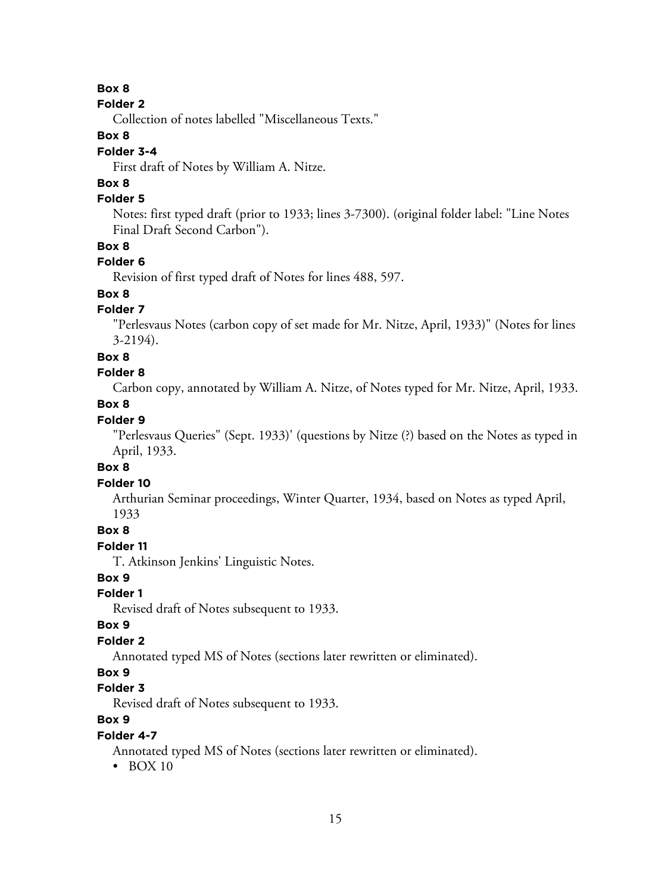#### **Folder 2**

Collection of notes labelled "Miscellaneous Texts."

# **Box 8**

# **Folder 3-4**

First draft of Notes by William A. Nitze.

# **Box 8**

# **Folder 5**

Notes: first typed draft (prior to 1933; lines 3-7300). (original folder label: "Line Notes Final Draft Second Carbon").

## **Box 8**

## **Folder 6**

Revision of first typed draft of Notes for lines 488, 597.

# **Box 8**

# **Folder 7**

"Perlesvaus Notes (carbon copy of set made for Mr. Nitze, April, 1933)" (Notes for lines 3-2194).

#### **Box 8**

# **Folder 8**

Carbon copy, annotated by William A. Nitze, of Notes typed for Mr. Nitze, April, 1933.

# **Box 8**

# **Folder 9**

"Perlesvaus Queries" (Sept. 1933)' (questions by Nitze (?) based on the Notes as typed in April, 1933.

#### **Box 8**

#### **Folder 10**

Arthurian Seminar proceedings, Winter Quarter, 1934, based on Notes as typed April, 1933

## **Box 8**

## **Folder 11**

T. Atkinson Jenkins' Linguistic Notes.

# **Box 9**

# **Folder 1**

Revised draft of Notes subsequent to 1933.

## **Box 9**

# **Folder 2**

Annotated typed MS of Notes (sections later rewritten or eliminated).

## **Box 9**

# **Folder 3**

Revised draft of Notes subsequent to 1933.

# **Box 9**

## **Folder 4-7**

Annotated typed MS of Notes (sections later rewritten or eliminated).

• BOX 10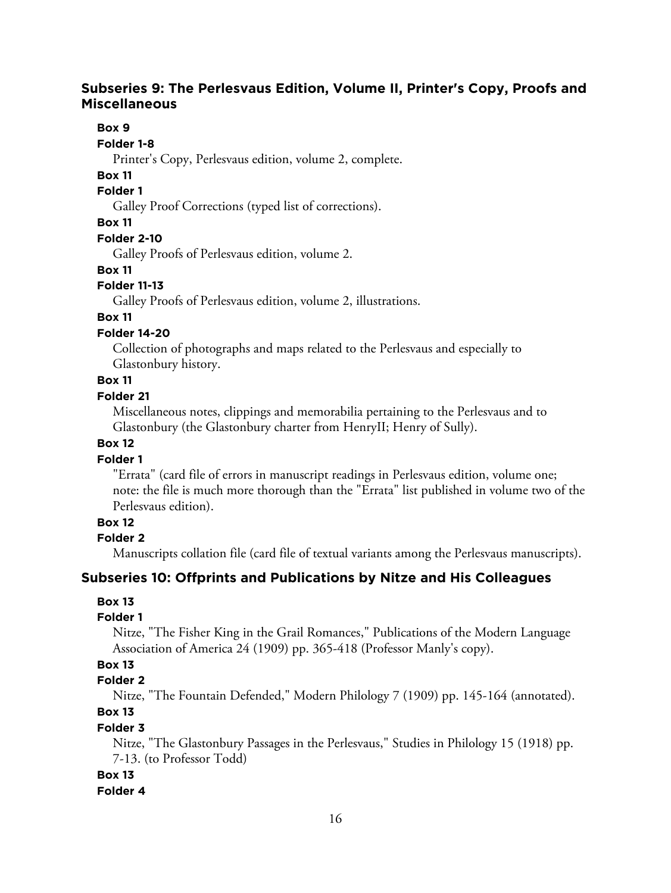# **Subseries 9: The Perlesvaus Edition, Volume II, Printer's Copy, Proofs and Miscellaneous**

## **Box 9**

#### **Folder 1-8**

Printer's Copy, Perlesvaus edition, volume 2, complete.

# **Box 11**

# **Folder 1**

Galley Proof Corrections (typed list of corrections).

#### **Box 11**

#### **Folder 2-10**

Galley Proofs of Perlesvaus edition, volume 2.

# **Box 11**

## **Folder 11-13**

Galley Proofs of Perlesvaus edition, volume 2, illustrations.

#### **Box 11**

## **Folder 14-20**

Collection of photographs and maps related to the Perlesvaus and especially to Glastonbury history.

# **Box 11**

## **Folder 21**

Miscellaneous notes, clippings and memorabilia pertaining to the Perlesvaus and to Glastonbury (the Glastonbury charter from HenryII; Henry of Sully).

## **Box 12**

# **Folder 1**

"Errata" (card file of errors in manuscript readings in Perlesvaus edition, volume one; note: the file is much more thorough than the "Errata" list published in volume two of the Perlesvaus edition).

# **Box 12**

**Folder 2**

Manuscripts collation file (card file of textual variants among the Perlesvaus manuscripts).

# **Subseries 10: Offprints and Publications by Nitze and His Colleagues**

# **Box 13**

# **Folder 1**

Nitze, "The Fisher King in the Grail Romances," Publications of the Modern Language Association of America 24 (1909) pp. 365-418 (Professor Manly's copy).

# **Box 13**

# **Folder 2**

Nitze, "The Fountain Defended," Modern Philology 7 (1909) pp. 145-164 (annotated). **Box 13**

# **Folder 3**

Nitze, "The Glastonbury Passages in the Perlesvaus," Studies in Philology 15 (1918) pp. 7-13. (to Professor Todd)

# **Box 13**

#### **Folder 4**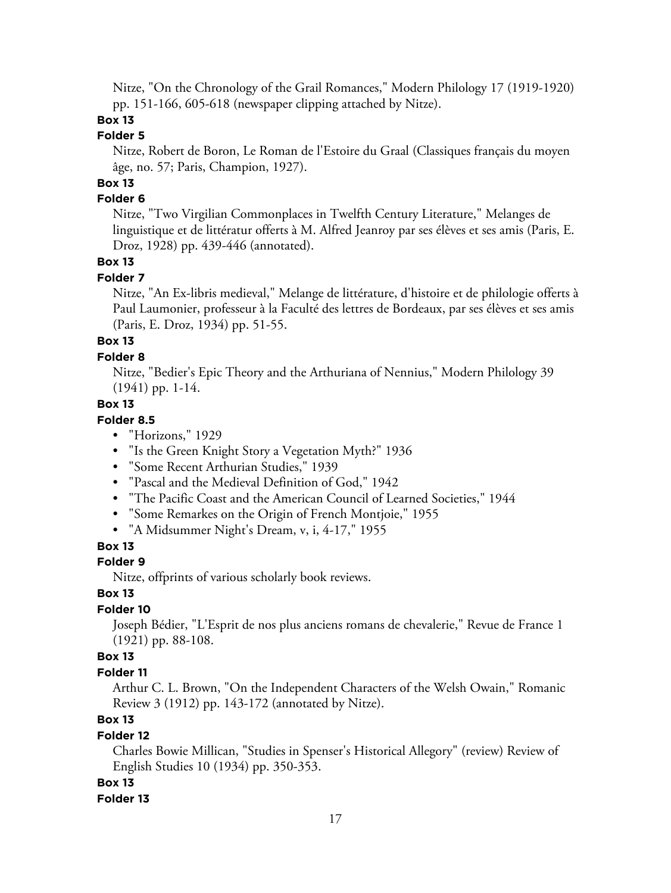Nitze, "On the Chronology of the Grail Romances," Modern Philology 17 (1919-1920) pp. 151-166, 605-618 (newspaper clipping attached by Nitze).

# **Box 13**

## **Folder 5**

Nitze, Robert de Boron, Le Roman de l'Estoire du Graal (Classiques français du moyen âge, no. 57; Paris, Champion, 1927).

# **Box 13**

## **Folder 6**

Nitze, "Two Virgilian Commonplaces in Twelfth Century Literature," Melanges de linguistique et de littératur offerts à M. Alfred Jeanroy par ses élèves et ses amis (Paris, E. Droz, 1928) pp. 439-446 (annotated).

# **Box 13**

## **Folder 7**

Nitze, "An Ex-libris medieval," Melange de littérature, d'histoire et de philologie offerts à Paul Laumonier, professeur à la Faculté des lettres de Bordeaux, par ses élèves et ses amis (Paris, E. Droz, 1934) pp. 51-55.

# **Box 13**

#### **Folder 8**

Nitze, "Bedier's Epic Theory and the Arthuriana of Nennius," Modern Philology 39 (1941) pp. 1-14.

#### **Box 13**

# **Folder 8.5**

- "Horizons," 1929
- "Is the Green Knight Story a Vegetation Myth?" 1936
- "Some Recent Arthurian Studies," 1939
- "Pascal and the Medieval Definition of God," 1942
- "The Pacific Coast and the American Council of Learned Societies," 1944
- "Some Remarkes on the Origin of French Montjoie," 1955
- "A Midsummer Night's Dream, v, i, 4-17," 1955

# **Box 13**

#### **Folder 9**

Nitze, offprints of various scholarly book reviews.

# **Box 13**

# **Folder 10**

Joseph Bédier, "L'Esprit de nos plus anciens romans de chevalerie," Revue de France 1 (1921) pp. 88-108.

#### **Box 13**

#### **Folder 11**

Arthur C. L. Brown, "On the Independent Characters of the Welsh Owain," Romanic Review 3 (1912) pp. 143-172 (annotated by Nitze).

# **Box 13**

#### **Folder 12**

Charles Bowie Millican, "Studies in Spenser's Historical Allegory" (review) Review of English Studies 10 (1934) pp. 350-353.

#### **Box 13**

#### **Folder 13**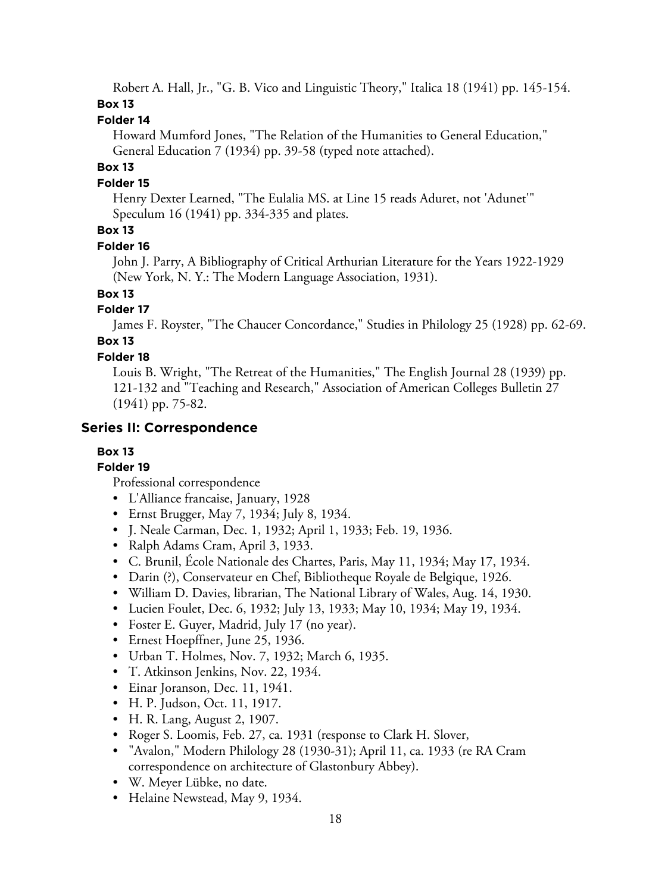Robert A. Hall, Jr., "G. B. Vico and Linguistic Theory," Italica 18 (1941) pp. 145-154.

# **Box 13**

# **Folder 14**

Howard Mumford Jones, "The Relation of the Humanities to General Education," General Education 7 (1934) pp. 39-58 (typed note attached).

# **Box 13**

# **Folder 15**

Henry Dexter Learned, "The Eulalia MS. at Line 15 reads Aduret, not 'Adunet'" Speculum 16 (1941) pp. 334-335 and plates.

# **Box 13**

# **Folder 16**

John J. Parry, A Bibliography of Critical Arthurian Literature for the Years 1922-1929 (New York, N. Y.: The Modern Language Association, 1931).

**Box 13**

# **Folder 17**

James F. Royster, "The Chaucer Concordance," Studies in Philology 25 (1928) pp. 62-69.

# **Box 13**

# **Folder 18**

Louis B. Wright, "The Retreat of the Humanities," The English Journal 28 (1939) pp. 121-132 and "Teaching and Research," Association of American Colleges Bulletin 27 (1941) pp. 75-82.

# **Series II: Correspondence**

# **Box 13**

# **Folder 19**

Professional correspondence

- L'Alliance francaise, January, 1928
- Ernst Brugger, May 7, 1934; July 8, 1934.
- J. Neale Carman, Dec. 1, 1932; April 1, 1933; Feb. 19, 1936.
- Ralph Adams Cram, April 3, 1933.
- C. Brunil, École Nationale des Chartes, Paris, May 11, 1934; May 17, 1934.
- Darin (?), Conservateur en Chef, Bibliotheque Royale de Belgique, 1926.
- William D. Davies, librarian, The National Library of Wales, Aug. 14, 1930.
- Lucien Foulet, Dec. 6, 1932; July 13, 1933; May 10, 1934; May 19, 1934.
- Foster E. Guyer, Madrid, July 17 (no year).
- Ernest Hoepffner, June 25, 1936.
- Urban T. Holmes, Nov. 7, 1932; March 6, 1935.
- T. Atkinson Jenkins, Nov. 22, 1934.
- Einar Joranson, Dec. 11, 1941.
- H. P. Judson, Oct. 11, 1917.
- H. R. Lang, August 2, 1907.
- Roger S. Loomis, Feb. 27, ca. 1931 (response to Clark H. Slover,
- "Avalon," Modern Philology 28 (1930-31); April 11, ca. 1933 (re RA Cram correspondence on architecture of Glastonbury Abbey).
- W. Meyer Lübke, no date.
- Helaine Newstead, May 9, 1934.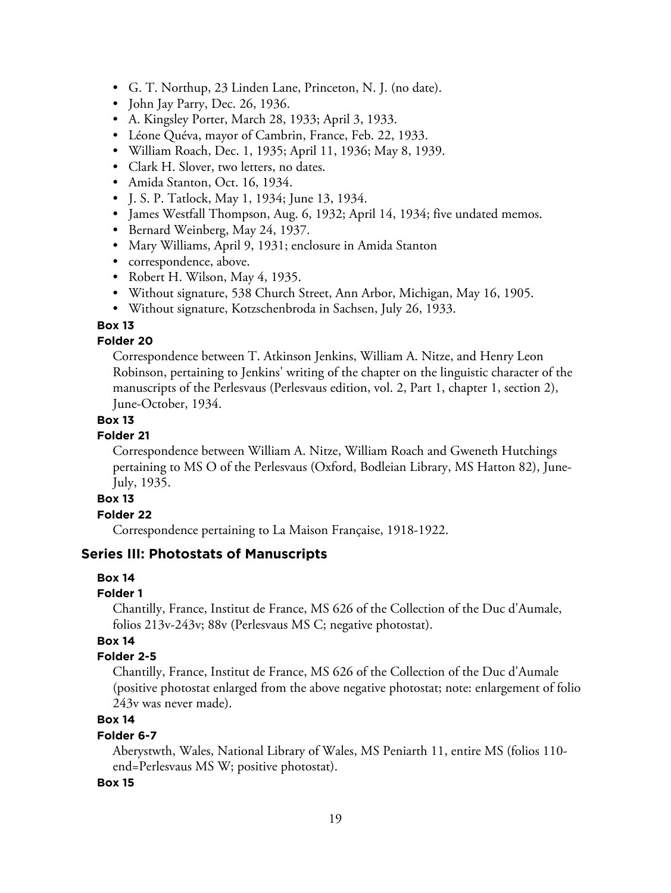- G. T. Northup, 23 Linden Lane, Princeton, N. J. (no date).
- John Jay Parry, Dec. 26, 1936.
- A. Kingsley Porter, March 28, 1933; April 3, 1933.
- Léone Quéva, mayor of Cambrin, France, Feb. 22, 1933.
- William Roach, Dec. 1, 1935; April 11, 1936; May 8, 1939.
- Clark H. Slover, two letters, no dates.
- Amida Stanton, Oct. 16, 1934.
- J. S. P. Tatlock, May 1, 1934; June 13, 1934.
- James Westfall Thompson, Aug. 6, 1932; April 14, 1934; five undated memos.
- Bernard Weinberg, May 24, 1937.
- Mary Williams, April 9, 1931; enclosure in Amida Stanton
- correspondence, above.
- Robert H. Wilson, May 4, 1935.
- Without signature, 538 Church Street, Ann Arbor, Michigan, May 16, 1905.
- Without signature, Kotzschenbroda in Sachsen, July 26, 1933.

## **Folder 20**

Correspondence between T. Atkinson Jenkins, William A. Nitze, and Henry Leon Robinson, pertaining to Jenkins' writing of the chapter on the linguistic character of the manuscripts of the Perlesvaus (Perlesvaus edition, vol. 2, Part 1, chapter 1, section 2), June-October, 1934.

#### **Box 13**

#### **Folder 21**

Correspondence between William A. Nitze, William Roach and Gweneth Hutchings pertaining to MS O of the Perlesvaus (Oxford, Bodleian Library, MS Hatton 82), June-July, 1935.

# **Box 13**

## **Folder 22**

Correspondence pertaining to La Maison Française, 1918-1922.

## **Series III: Photostats of Manuscripts**

#### **Box 14**

#### **Folder 1**

Chantilly, France, Institut de France, MS 626 of the Collection of the Duc d'Aumale, folios 213v-243v; 88v (Perlesvaus MS C; negative photostat).

## **Box 14**

## **Folder 2-5**

Chantilly, France, Institut de France, MS 626 of the Collection of the Duc d'Aumale (positive photostat enlarged from the above negative photostat; note: enlargement of folio 243v was never made).

# **Box 14**

#### **Folder 6-7**

Aberystwth, Wales, National Library of Wales, MS Peniarth 11, entire MS (folios 110 end=Perlesvaus MS W; positive photostat).

#### **Box 15**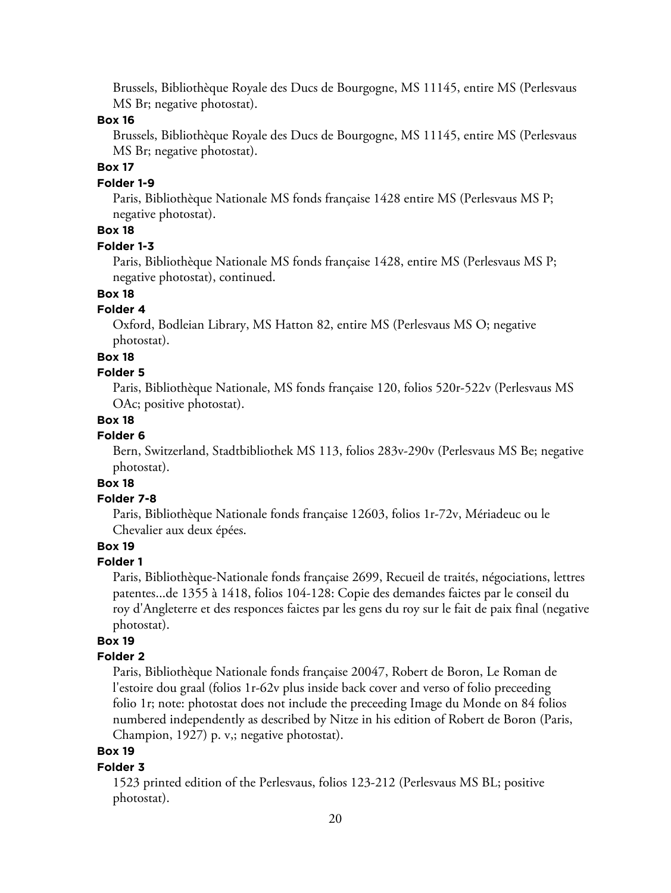Brussels, Bibliothèque Royale des Ducs de Bourgogne, MS 11145, entire MS (Perlesvaus MS Br; negative photostat).

#### **Box 16**

Brussels, Bibliothèque Royale des Ducs de Bourgogne, MS 11145, entire MS (Perlesvaus MS Br; negative photostat).

## **Box 17**

#### **Folder 1-9**

Paris, Bibliothèque Nationale MS fonds française 1428 entire MS (Perlesvaus MS P; negative photostat).

# **Box 18**

#### **Folder 1-3**

Paris, Bibliothèque Nationale MS fonds française 1428, entire MS (Perlesvaus MS P; negative photostat), continued.

# **Box 18**

#### **Folder 4**

Oxford, Bodleian Library, MS Hatton 82, entire MS (Perlesvaus MS O; negative photostat).

#### **Box 18**

#### **Folder 5**

Paris, Bibliothèque Nationale, MS fonds française 120, folios 520r-522v (Perlesvaus MS OAc; positive photostat).

#### **Box 18**

#### **Folder 6**

Bern, Switzerland, Stadtbibliothek MS 113, folios 283v-290v (Perlesvaus MS Be; negative photostat).

# **Box 18**

#### **Folder 7-8**

Paris, Bibliothèque Nationale fonds française 12603, folios 1r-72v, Mériadeuc ou le Chevalier aux deux épées.

#### **Box 19**

#### **Folder 1**

Paris, Bibliothèque-Nationale fonds française 2699, Recueil de traités, négociations, lettres patentes...de 1355 à 1418, folios 104-128: Copie des demandes faictes par le conseil du roy d'Angleterre et des responces faictes par les gens du roy sur le fait de paix final (negative photostat).

# **Box 19**

## **Folder 2**

Paris, Bibliothèque Nationale fonds française 20047, Robert de Boron, Le Roman de l'estoire dou graal (folios 1r-62v plus inside back cover and verso of folio preceeding folio 1r; note: photostat does not include the preceeding Image du Monde on 84 folios numbered independently as described by Nitze in his edition of Robert de Boron (Paris, Champion, 1927) p. v,; negative photostat).

# **Box 19**

#### **Folder 3**

1523 printed edition of the Perlesvaus, folios 123-212 (Perlesvaus MS BL; positive photostat).